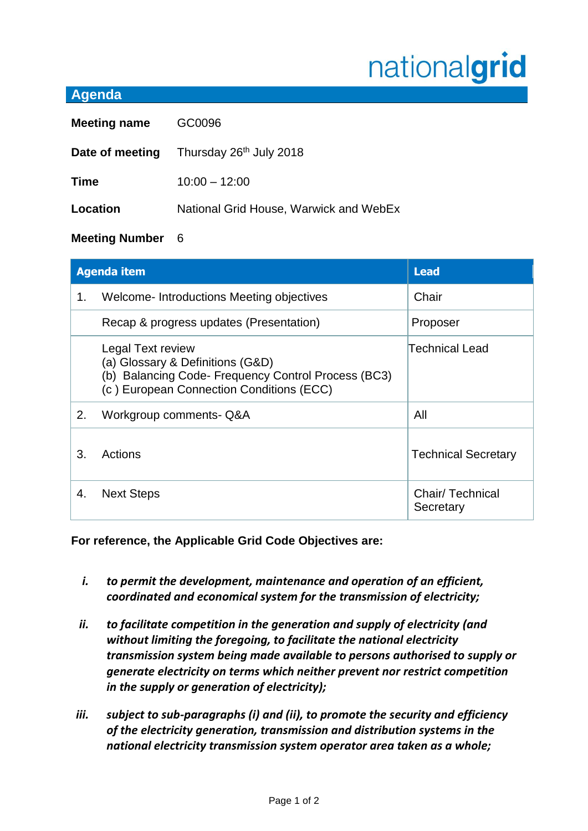## nationalgrid

## **Agenda**

| <b>Meeting name</b> | GC0096                                                     |  |
|---------------------|------------------------------------------------------------|--|
|                     | <b>Date of meeting</b> Thursday 26 <sup>th</sup> July 2018 |  |
| <b>Time</b>         | $10:00 - 12:00$                                            |  |
| Location            | National Grid House, Warwick and WebEx                     |  |
|                     |                                                            |  |

## **Meeting Number** 6

| <b>Agenda item</b> |                                                                                                                                                          | <b>Lead</b>                  |
|--------------------|----------------------------------------------------------------------------------------------------------------------------------------------------------|------------------------------|
| 1.                 | Welcome-Introductions Meeting objectives                                                                                                                 | Chair                        |
|                    | Recap & progress updates (Presentation)                                                                                                                  | Proposer                     |
|                    | Legal Text review<br>(a) Glossary & Definitions (G&D)<br>(b) Balancing Code- Frequency Control Process (BC3)<br>(c) European Connection Conditions (ECC) | Technical Lead               |
| 2.                 | Workgroup comments- Q&A                                                                                                                                  | All                          |
| 3.                 | Actions                                                                                                                                                  | <b>Technical Secretary</b>   |
| 4.                 | <b>Next Steps</b>                                                                                                                                        | Chair/Technical<br>Secretary |

**For reference, the Applicable Grid Code Objectives are:**

- *i. to permit the development, maintenance and operation of an efficient, coordinated and economical system for the transmission of electricity;*
- *ii. to facilitate competition in the generation and supply of electricity (and without limiting the foregoing, to facilitate the national electricity transmission system being made available to persons authorised to supply or generate electricity on terms which neither prevent nor restrict competition in the supply or generation of electricity);*
- *iii. subject to sub-paragraphs (i) and (ii), to promote the security and efficiency of the electricity generation, transmission and distribution systems in the national electricity transmission system operator area taken as a whole;*